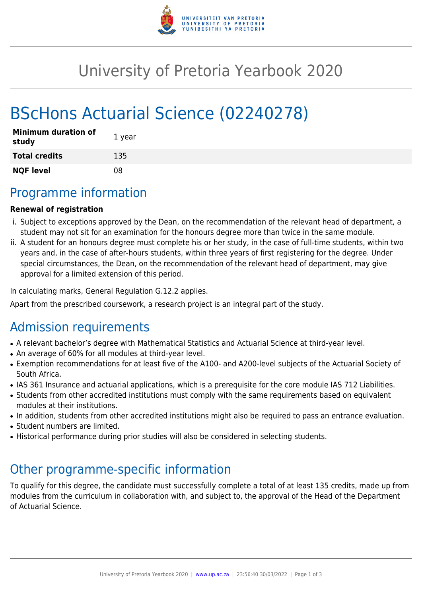

## University of Pretoria Yearbook 2020

# BScHons Actuarial Science (02240278)

| <b>Minimum duration of</b><br>study | 1 year |
|-------------------------------------|--------|
| <b>Total credits</b>                | 135    |
| <b>NQF level</b>                    | 08     |

### Programme information

#### **Renewal of registration**

- i. Subject to exceptions approved by the Dean, on the recommendation of the relevant head of department, a student may not sit for an examination for the honours degree more than twice in the same module.
- ii. A student for an honours degree must complete his or her study, in the case of full-time students, within two years and, in the case of after-hours students, within three years of first registering for the degree. Under special circumstances, the Dean, on the recommendation of the relevant head of department, may give approval for a limited extension of this period.

In calculating marks, General Regulation G.12.2 applies.

Apart from the prescribed coursework, a research project is an integral part of the study.

### Admission requirements

- A relevant bachelor's degree with Mathematical Statistics and Actuarial Science at third-year level.
- An average of 60% for all modules at third-year level.
- Exemption recommendations for at least five of the A100- and A200-level subjects of the Actuarial Society of South Africa.
- IAS 361 Insurance and actuarial applications, which is a prerequisite for the core module IAS 712 Liabilities.
- Students from other accredited institutions must comply with the same requirements based on equivalent modules at their institutions.
- In addition, students from other accredited institutions might also be required to pass an entrance evaluation.
- Student numbers are limited.
- Historical performance during prior studies will also be considered in selecting students.

### Other programme-specific information

To qualify for this degree, the candidate must successfully complete a total of at least 135 credits, made up from modules from the curriculum in collaboration with, and subject to, the approval of the Head of the Department of Actuarial Science.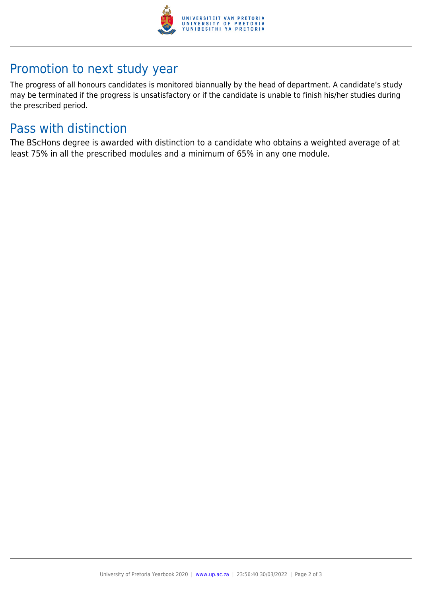

### Promotion to next study year

The progress of all honours candidates is monitored biannually by the head of department. A candidate's study may be terminated if the progress is unsatisfactory or if the candidate is unable to finish his/her studies during the prescribed period.

### Pass with distinction

The BScHons degree is awarded with distinction to a candidate who obtains a weighted average of at least 75% in all the prescribed modules and a minimum of 65% in any one module.